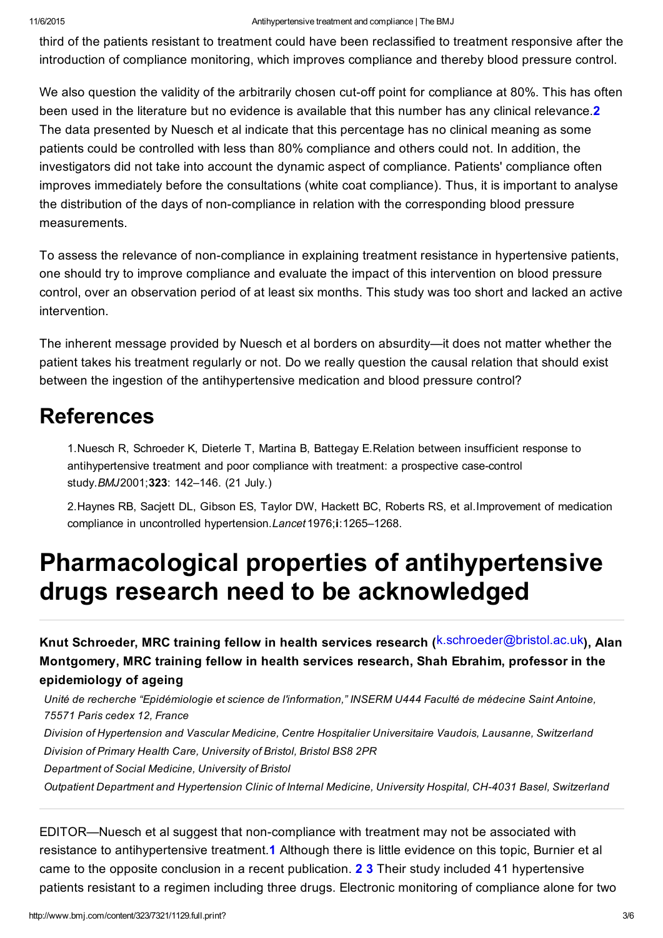third of the patients resistant to treatment could have been reclassified to treatment responsive after the introduction of compliance monitoring, which improves compliance and thereby blood pressure control.

We also question the validity of the arbitrarily chosen cut-off point for compliance at 80%. This has often been used in the literature but no evidence is available that this number has any clinical relevance.<sup>2</sup> The data presented by Nuesch et al indicate that this percentage has no clinical meaning as some patients could be controlled with less than 80% compliance and others could not. In addition, the investigators did not take into account the dynamic aspect of compliance. Patients' compliance often improves immediately before the consultations (white coat compliance). Thus, it is important to analyse the distribution of the days of non-compliance in relation with the corresponding blood pressure measurements.

To assess the relevance of non-compliance in explaining treatment resistance in hypertensive patients, one should try to improve compliance and evaluate the impact of this intervention on blood pressure control, over an observation period of at least six months. This study was too short and lacked an active intervention.

The inherent message provided by Nuesch et al borders on absurdity—it does not matter whether the patient takes his treatment regularly or not. Do we really question the causal relation that should exist between the ingestion of the antihypertensive medication and blood pressure control?

## References

1.Nuesch R, Schroeder K, Dieterle T, Martina B, Battegay E.Relation between insufficient response to antihypertensive treatment and poor compliance with treatment: a prospective case-control study.*BMJ*2001;323: 142–146. (21 July.)

2.Haynes RB, Sacjett DL, Gibson ES, Taylor DW, Hackett BC, Roberts RS, et al.Improvement of medication compliance in uncontrolled hypertension.*Lancet* 1976;i:1265–1268.

## Pharmacological properties of antihypertensive drugs research need to be acknowledged

Knut Schroeder, MRC training fellow in health services research (<sup>k.schroeder@bristol.ac.uk</sup>), Alan Montgomery, MRC training fellow in health services research, Shah Ebrahim, professor in the epidemiology of ageing

*Unité de recherche "Epidémiologie et science de l'information," INSERM U444 Faculté de médecine Saint Antoine, 75571 Paris cedex 12, France Division of Hypertension and Vascular Medicine, Centre Hospitalier Universitaire Vaudois, Lausanne, Switzerland*

*Division of Primary Health Care, University of Bristol, Bristol BS8 2PR*

*Department of Social Medicine, University of Bristol*

*Outpatient Department and Hypertension Clinic of Internal Medicine, University Hospital, CH4031 Basel, Switzerland*

EDITOR—Nuesch et al suggest that non-compliance with treatment may not be associated with resistance to antihypertensive treatment.1 Although there is little evidence on this topic, Burnier et al came to the opposite conclusion in a recent publication. 2 3 Their study included 41 hypertensive patients resistant to a regimen including three drugs. Electronic monitoring of compliance alone for two